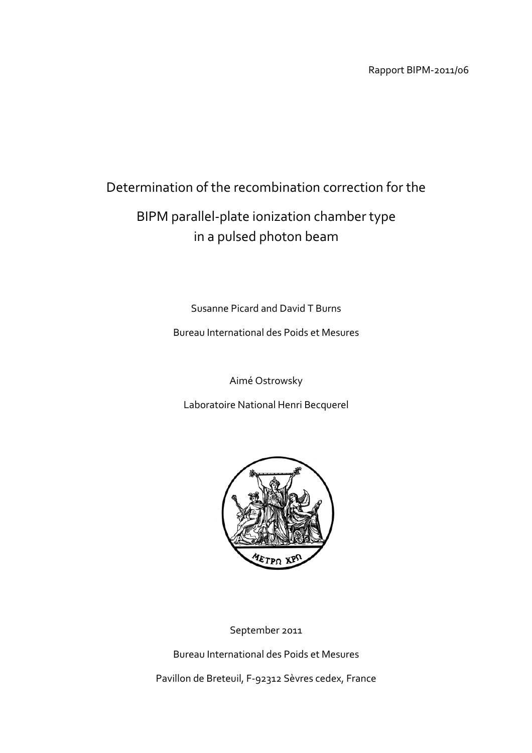Rapport BIPM‐2011/06

# Determination of the recombination correction for the

# BIPM parallel‐plate ionization chamber type in a pulsed photon beam

Susanne Picard and David T Burns

Bureau International des Poids et Mesures

Aimé Ostrowsky

Laboratoire National Henri Becquerel



September 2011

Bureau International des Poids et Mesures

Pavillon de Breteuil, F‐92312 Sèvres cedex, France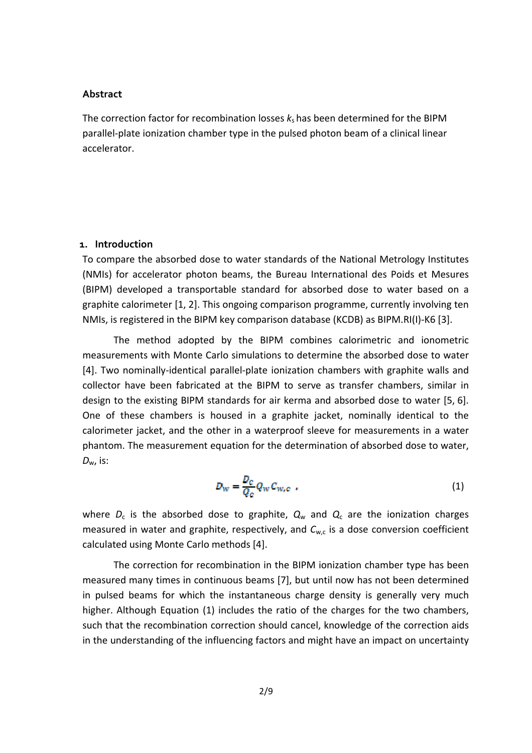### **Abstract**

The correction factor for recombination losses  $k<sub>s</sub>$  has been determined for the BIPM parallel‐plate ionization chamber type in the pulsed photon beam of a clinical linear accelerator.

## **1. Introduction**

To compare the absorbed dose to water standards of the National Metrology Institutes (NMIs) for accelerator photon beams, the Bureau International des Poids et Mesures (BIPM) developed a transportable standard for absorbed dose to water based on a graphite calorimeter [1, 2]. This ongoing comparison programme, currently involving ten NMIs, is registered in the BIPM key comparison database (KCDB) as BIPM.RI(I)‐K6 [3].

The method adopted by the BIPM combines calorimetric and ionometric measurements with Monte Carlo simulations to determine the absorbed dose to water [4]. Two nominally-identical parallel-plate ionization chambers with graphite walls and collector have been fabricated at the BIPM to serve as transfer chambers, similar in design to the existing BIPM standards for air kerma and absorbed dose to water [5, 6]. One of these chambers is housed in a graphite jacket, nominally identical to the calorimeter jacket, and the other in a waterproof sleeve for measurements in a water phantom. The measurement equation for the determination of absorbed dose to water, *D*w, is:

$$
D_{\rm w} = \frac{D_c}{Q_c} Q_{\rm w} C_{\rm w,c} \tag{1}
$$

where  $D_c$  is the absorbed dose to graphite,  $Q_w$  and  $Q_c$  are the ionization charges measured in water and graphite, respectively, and C<sub>w,c</sub> is a dose conversion coefficient calculated using Monte Carlo methods [4].

The correction for recombination in the BIPM ionization chamber type has been measured many times in continuous beams [7], but until now has not been determined in pulsed beams for which the instantaneous charge density is generally very much higher. Although Equation (1) includes the ratio of the charges for the two chambers, such that the recombination correction should cancel, knowledge of the correction aids in the understanding of the influencing factors and might have an impact on uncertainty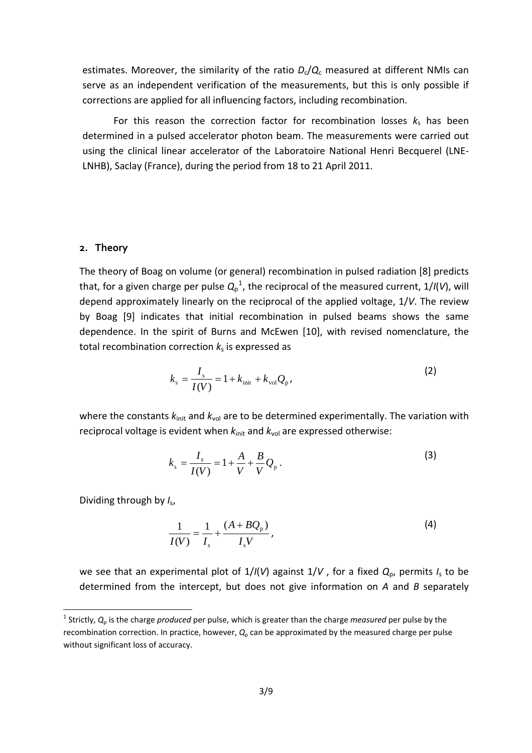estimates. Moreover, the similarity of the ratio  $D_c/Q_c$  measured at different NMIs can serve as an independent verification of the measurements, but this is only possible if corrections are applied for all influencing factors, including recombination.

For this reason the correction factor for recombination losses  $k_s$  has been determined in a pulsed accelerator photon beam. The measurements were carried out using the clinical linear accelerator of the Laboratoire National Henri Becquerel (LNE‐ LNHB), Saclay (France), during the period from 18 to 21 April 2011.

#### **2. Theory**

The theory of Boag on volume (or general) recombination in pulsed radiation [8] predicts that, for a given charge per pulse  $Q_p^{\ 1}$  $Q_p^{\ 1}$  $Q_p^{\ 1}$ , the reciprocal of the measured current, 1/*I*(*V*), will depend approximately linearly on the reciprocal of the applied voltage, 1/*V*. The review by Boag [9] indicates that initial recombination in pulsed beams shows the same dependence. In the spirit of Burns and McEwen [10], with revised nomenclature, the total recombination correction  $k_s$  is expressed as

$$
k_{\rm s} = \frac{I_{\rm s}}{I(V)} = 1 + k_{\rm init} + k_{\rm vol} Q_{\rm p} \,,
$$
 (2)

where the constants  $k_{init}$  and  $k_{vol}$  are to be determined experimentally. The variation with reciprocal voltage is evident when  $k_{init}$  and  $k_{vol}$  are expressed otherwise:

$$
k_{\rm s} = \frac{I_{\rm s}}{I(V)} = 1 + \frac{A}{V} + \frac{B}{V} Q_{\rm p} \,. \tag{3}
$$

Dividing through by *I*s,

$$
\frac{1}{I(V)} = \frac{1}{I_s} + \frac{(A + BQ_p)}{I_s V},
$$
\n(4)

we see that an experimental plot of 1/*I*(*V*) against 1/*V* , for a fixed *Q*p, permits *I*<sup>s</sup> to be determined from the intercept, but does not give information on *A* and *B* separately

<span id="page-2-0"></span><sup>1</sup> Strictly, *Q*<sup>p</sup> is the charge *produced* per pulse, which is greater than the charge *measured* per pulse by the recombination correction. In practice, however,  $Q_p$  can be approximated by the measured charge per pulse without significant loss of accuracy.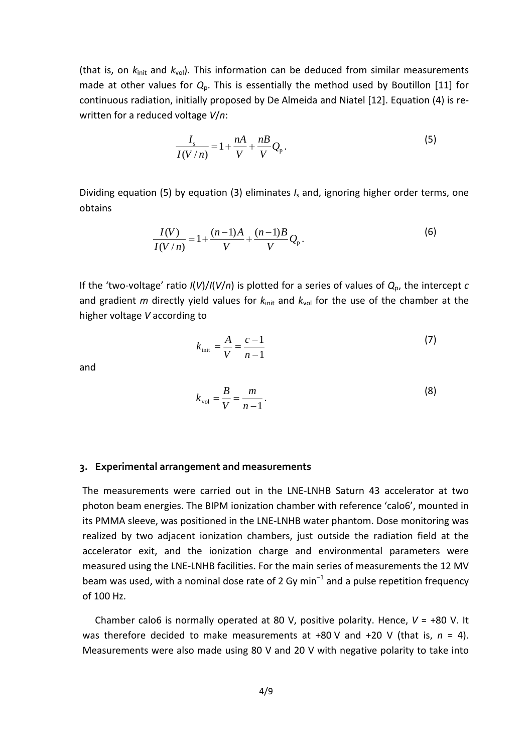(that is, on *k*init and *k*vol). This information can be deduced from similar measurements made at other values for *Q*p. This is essentially the method used by Boutillon [11] for continuous radiation, initially proposed by De Almeida and Niatel [12]. Equation (4) is re‐ written for a reduced voltage *V*/*n*:

$$
\frac{I_s}{I(V/n)} = 1 + \frac{nA}{V} + \frac{nB}{V}Q_p.
$$
\n(5)

Dividing equation (5) by equation (3) eliminates *I*<sup>s</sup> and, ignoring higher order terms, one obtains

$$
\frac{I(V)}{I(V/n)} = 1 + \frac{(n-1)A}{V} + \frac{(n-1)B}{V}Q_{p}.
$$
 (6)

If the 'two‐voltage' ratio *I*(*V*)/*I*(*V*/*n*) is plotted for a series of values of *Q*p, the intercept *c* and gradient *m* directly yield values for  $k_{init}$  and  $k_{vol}$  for the use of the chamber at the higher voltage *V* according to

$$
k_{\text{init}} = \frac{A}{V} = \frac{c - 1}{n - 1}
$$
 (7)

and

$$
k_{\text{vol}} = \frac{B}{V} = \frac{m}{n-1}.
$$
 (8)

#### **3. Experimental arrangement and measurements**

The measurements were carried out in the LNE‐LNHB Saturn 43 accelerator at two photon beam energies. The BIPM ionization chamber with reference 'calo6', mounted in its PMMA sleeve, was positioned in the LNE‐LNHB water phantom. Dose monitoring was realized by two adjacent ionization chambers, just outside the radiation field at the accelerator exit, and the ionization charge and environmental parameters were measured using the LNE‐LNHB facilities. For the main series of measurements the 12 MV beam was used, with a nominal dose rate of 2 Gy min<sup>-1</sup> and a pulse repetition frequency of 100 Hz.

Chamber calo6 is normally operated at 80 V, positive polarity. Hence, *V* = +80 V. It was therefore decided to make measurements at +80 V and +20 V (that is, *n* = 4). Measurements were also made using 80 V and 20 V with negative polarity to take into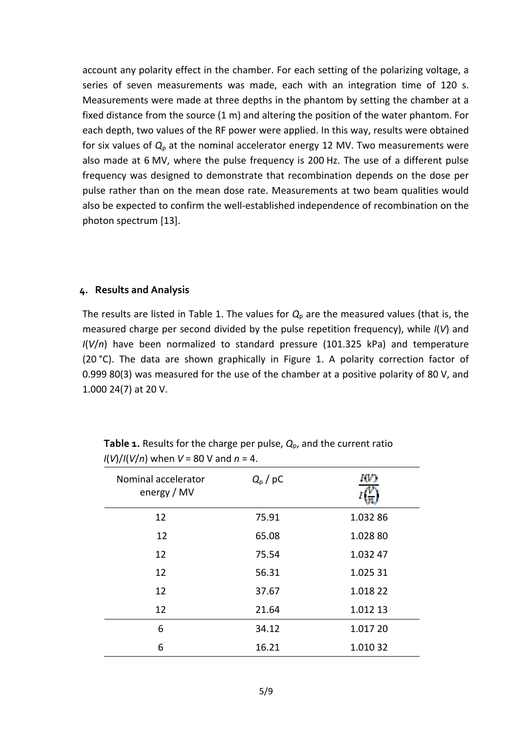account any polarity effect in the chamber. For each setting of the polarizing voltage, a series of seven measurements was made, each with an integration time of 120 s. Measurements were made at three depths in the phantom by setting the chamber at a fixed distance from the source (1 m) and altering the position of the water phantom. For each depth, two values of the RF power were applied. In this way, results were obtained for six values of  $Q_p$  at the nominal accelerator energy 12 MV. Two measurements were also made at 6 MV, where the pulse frequency is 200 Hz. The use of a different pulse frequency was designed to demonstrate that recombination depends on the dose per pulse rather than on the mean dose rate. Measurements at two beam qualities would also be expected to confirm the well‐established independence of recombination on the photon spectrum [13].

#### **4. Results and Analysis**

The results are listed in Table 1. The values for  $Q_p$  are the measured values (that is, the measured charge per second divided by the pulse repetition frequency), while *I*(*V*) and *I*(*V*/*n*) have been normalized to standard pressure (101.325 kPa) and temperature (20 °C). The data are shown graphically in Figure 1. A polarity correction factor of 0.999 80(3) was measured for the use of the chamber at a positive polarity of 80 V, and 1.000 24(7) at 20 V.

| Nominal accelerator<br>energy / MV | $Q_{\rm p}$ / pC |          |
|------------------------------------|------------------|----------|
| 12                                 | 75.91            | 1.032 86 |
| 12                                 | 65.08            | 1.028 80 |
| 12                                 | 75.54            | 1.032 47 |
| 12                                 | 56.31            | 1.025 31 |
| 12                                 | 37.67            | 1.018 22 |
| 12                                 | 21.64            | 1.012 13 |
| 6                                  | 34.12            | 1.017 20 |
| 6                                  | 16.21            | 1.010 32 |

**Table 1.** Results for the charge per pulse, *Q*p, and the current ratio *I*(*V*)/*I*(*V*/*n*) when *V* = 80 V and *n* = 4.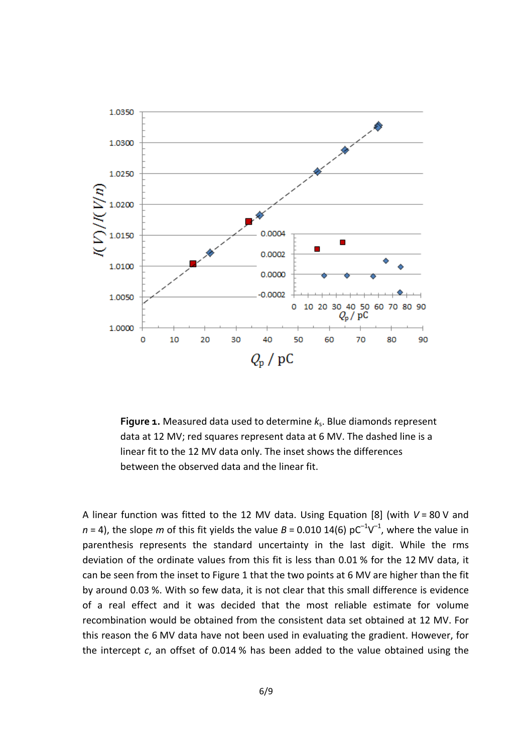

**Figure 1.** Measured data used to determine *k*s. Blue diamonds represent data at 12 MV; red squares represent data at 6 MV. The dashed line is a linear fit to the 12 MV data only. The inset shows the differences between the observed data and the linear fit.

A linear function was fitted to the 12 MV data. Using Equation [8] (with *V* = 80 V and  $n = 4$ ), the slope *m* of this fit yields the value  $B = 0.010$  14(6)  $pC^{-1}V^{-1}$ , where the value in parenthesis represents the standard uncertainty in the last digit. While the rms deviation of the ordinate values from this fit is less than 0.01 % for the 12 MV data, it can be seen from the inset to Figure 1 that the two points at 6 MV are higher than the fit by around 0.03 %. With so few data, it is not clear that this small difference is evidence of a real effect and it was decided that the most reliable estimate for volume recombination would be obtained from the consistent data set obtained at 12 MV. For this reason the 6 MV data have not been used in evaluating the gradient. However, for the intercept *c*, an offset of 0.014 % has been added to the value obtained using the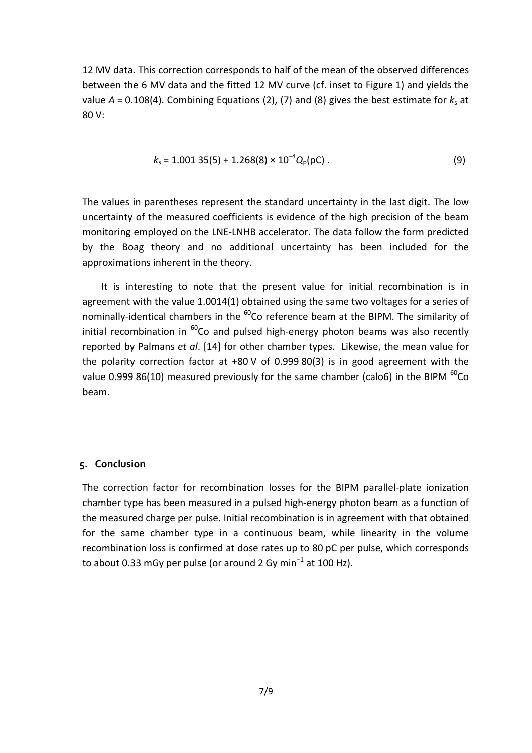12 MV data. This correction corresponds to half of the mean of the observed differences between the 6 MV data and the fitted 12 MV curve (cf. inset to Figure 1) and yields the value  $A = 0.108(4)$ . Combining Equations (2), (7) and (8) gives the best estimate for  $k_s$  at 80 V:

$$
k_{\rm s}=1.001\;35(5)+1.268(8)\times10^{-4}Q_{\rm p}(\rm pC)\;.
$$

The values in parentheses represent the standard uncertainty in the last digit. The low uncertainty of the measured coefficients is evidence of the high precision of the beam monitoring employed on the LNE‐LNHB accelerator. The data follow the form predicted by the Boag theory and no additional uncertainty has been included for the approximations inherent in the theory.

It is interesting to note that the present value for initial recombination is in agreement with the value 1.0014(1) obtained using the same two voltages for a series of nominally-identical chambers in the  $^{60}$ Co reference beam at the BIPM. The similarity of initial recombination in  $^{60}$ Co and pulsed high-energy photon beams was also recently reported by Palmans *et al*. [14] for other chamber types. Likewise, the mean value for the polarity correction factor at +80 V of 0.999 80(3) is in good agreement with the value 0.999 86(10) measured previously for the same chamber (calo6) in the BIPM  $^{60}$ Co beam.

### **5. Conclusion**

The correction factor for recombination losses for the BIPM parallel‐plate ionization chamber type has been measured in a pulsed high‐energy photon beam as a function of the measured charge per pulse. Initial recombination is in agreement with that obtained for the same chamber type in a continuous beam, while linearity in the volume recombination loss is confirmed at dose rates up to 80 pC per pulse, which corresponds to about 0.33 mGy per pulse (or around 2 Gy min<sup>-1</sup> at 100 Hz).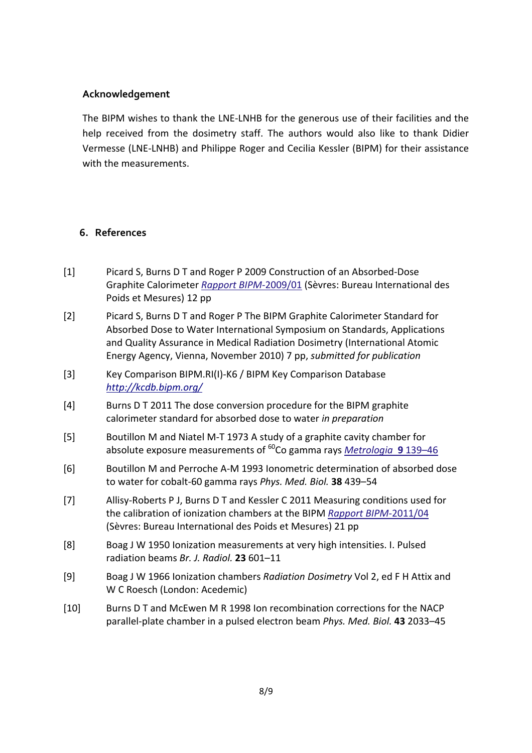## **Acknowledgement**

The BIPM wishes to thank the LNE‐LNHB for the generous use of their facilities and the help received from the dosimetry staff. The authors would also like to thank Didier Vermesse (LNE‐LNHB) and Philippe Roger and Cecilia Kessler (BIPM) for their assistance with the measurements.

# **6. References**

- [1] Picard S, Burns D T and Roger P 2009 Construction of an Absorbed‐Dose Graphite Calorimeter *Rapport BIPM*‐[2009/01](http://www.bipm.org/utils/common/pdf/rapportBIPM/2009/01.pdf) (Sèvres: Bureau International des Poids et Mesures) 12 pp
- [2] Picard S, Burns D T and Roger P The BIPM Graphite Calorimeter Standard for Absorbed Dose to Water International Symposium on Standards, Applications and Quality Assurance in Medical Radiation Dosimetry (International Atomic Energy Agency, Vienna, November 2010) 7 pp, *submitted for publication*
- [3] Key Comparison BIPM.RI(I)‐K6 / BIPM Key Comparison Database *<http://kcdb.bipm.org/>*
- [4] Burns D T 2011 The dose conversion procedure for the BIPM graphite calorimeter standard for absorbed dose to water *in preparation*
- [5] Boutillon M and Niatel M‐T 1973 A study of a graphite cavity chamber for absolute exposure measurements of 60Co gamma rays *[Metrologia](http://iopscience.iop.org/0026-1394/9/4/001/)* **9** 139–46
- [6] Boutillon M and Perroche A‐M 1993 Ionometric determination of absorbed dose to water for cobalt‐60 gamma rays *Phys. Med. Biol.* **38** 439–54
- [7] Allisy‐Roberts P J, Burns D T and Kessler C 2011 Measuring conditions used for the calibration of ionization chambers at the BIPM *Rapport BIPM*‐[2011/04](http://www.bipm.org/utils/common/pdf/rapportBIPM/2011/04.pdf) (Sèvres: Bureau International des Poids et Mesures) 21 pp
- [8] Boag J W 1950 Ionization measurements at very high intensities. I. Pulsed radiation beams *Br. J. Radiol.* **23** 601–11
- [9] Boag J W 1966 Ionization chambers *Radiation Dosimetry* Vol 2, ed F H Attix and W C Roesch (London: Acedemic)
- [10] Burns D T and McEwen M R 1998 Ion recombination corrections for the NACP parallel‐plate chamber in a pulsed electron beam *Phys. Med. Biol.* **43** 2033–45